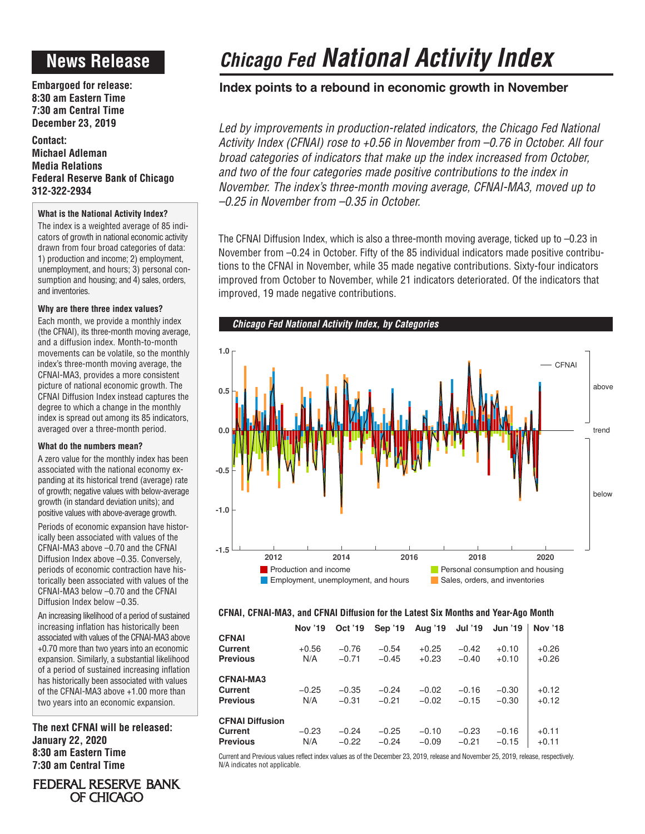## **News Release**

**Embargoed for release: 8:30 am Eastern Time 7:30 am Central Time December 23, 2019**

**Contact: Michael Adleman Media Relations Federal Reserve Bank of Chicago 312-322-2934**

## **What is the National Activity Index?**

The index is a weighted average of 85 indicators of growth in national economic activity drawn from four broad categories of data: 1) production and income; 2) employment, unemployment, and hours; 3) personal consumption and housing; and 4) sales, orders, and inventories.

## **Why are there three index values?**

Each month, we provide a monthly index (the CFNAI), its three-month moving average, and a diffusion index. Month-to-month movements can be volatile, so the monthly index's three-month moving average, the CFNAI-MA3, provides a more consistent picture of national economic growth. The CFNAI Diffusion Index instead captures the degree to which a change in the monthly index is spread out among its 85 indicators, averaged over a three-month period.

## **What do the numbers mean?**

A zero value for the monthly index has been associated with the national economy expanding at its historical trend (average) rate of growth; negative values with below-average growth (in standard deviation units); and positive values with above-average growth.

Periods of economic expansion have historically been associated with values of the CFNAI-MA3 above –0.70 and the CFNAI Diffusion Index above –0.35. Conversely, periods of economic contraction have historically been associated with values of the CFNAI-MA3 below –0.70 and the CFNAI Diffusion Index below –0.35.

An increasing likelihood of a period of sustained increasing inflation has historically been associated with values of the CFNAI-MA3 above +0.70 more than two years into an economic expansion. Similarly, a substantial likelihood of a period of sustained increasing inflation has historically been associated with values of the CFNAI-MA3 above +1.00 more than two years into an economic expansion.

**The next CFNAI will be released: January 22, 2020 8:30 am Eastern Time 7:30 am Central Time**

# *Chicago Fed National Activity Index*

## **Index points to a rebound in economic growth in November**

Led by improvements in production-related indicators, the Chicago Fed National *Activity Index (CFNAI) rose to +0.56 in November from –0.76 in October. All four broad categories of indicators that make up the index increased from October,*  and two of the four categories made positive contributions to the index in *November. The index's three-month moving average, CFNAI-MA3, moved up to –0.25 in November from –0.35 in October.*

The CFNAI Diffusion Index, which is also a three-month moving average, ticked up to –0.23 in November from –0.24 in October. Fifty of the 85 individual indicators made positive contributions to the CFNAI in November, while 35 made negative contributions. Sixty-four indicators improved from October to November, while 21 indicators deteriorated. Of the indicators that improved, 19 made negative contributions.



## **CFNAI, CFNAI-MA3, and CFNAI Diffusion for the Latest Six Months and Year-Ago Month**

|                        | <b>Nov</b> '19 | Oct '19 | Sep '19 | Aug '19 | <b>Jul '19</b> | <b>Jun '19</b> | <b>Nov '18</b> |
|------------------------|----------------|---------|---------|---------|----------------|----------------|----------------|
| <b>CFNAI</b>           |                |         |         |         |                |                |                |
| Current                | $+0.56$        | $-0.76$ | $-0.54$ | $+0.25$ | $-0.42$        | $+0.10$        | $+0.26$        |
| <b>Previous</b>        | N/A            | $-0.71$ | $-0.45$ | $+0.23$ | $-0.40$        | $+0.10$        | $+0.26$        |
| <b>CFNAI-MA3</b>       |                |         |         |         |                |                |                |
| Current                | $-0.25$        | $-0.35$ | $-0.24$ | $-0.02$ | $-0.16$        | $-0.30$        | $+0.12$        |
| <b>Previous</b>        | N/A            | $-0.31$ | $-0.21$ | $-0.02$ | $-0.15$        | $-0.30$        | $+0.12$        |
| <b>CFNAI Diffusion</b> |                |         |         |         |                |                |                |
| Current                | $-0.23$        | $-0.24$ | $-0.25$ | $-0.10$ | $-0.23$        | $-0.16$        | $+0.11$        |
| <b>Previous</b>        | N/A            | $-0.22$ | $-0.24$ | $-0.09$ | $-0.21$        | $-0.15$        | $+0.11$        |

Current and Previous values reflect index values as of the December 23, 2019, release and November 25, 2019, release, respectively. N/A indicates not applicable.

FEDERAL RESERVE BANK OF CHICAGO